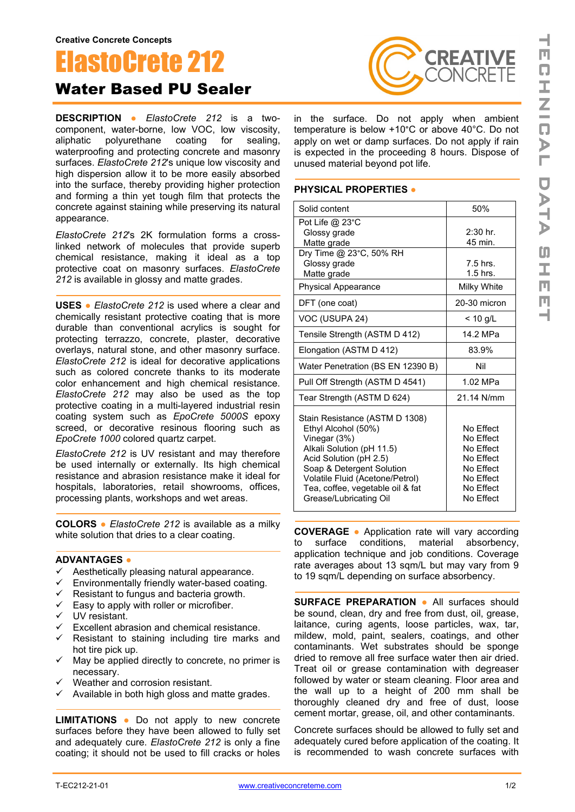# ElastoCrete 212 Water Based PU Sealer

**DESCRIPTION ●** *ElastoCrete 212* is a twocomponent, water-borne, low VOC, low viscosity, aliphatic polyurethane coating for waterproofing and protecting concrete and masonry surfaces. *ElastoCrete 212*'s unique low viscosity and high dispersion allow it to be more easily absorbed into the surface, thereby providing higher protection and forming a thin yet tough film that protects the concrete against staining while preserving its natural appearance.

*ElastoCrete 212*'s 2K formulation forms a crosslinked network of molecules that provide superb chemical resistance, making it ideal as a top protective coat on masonry surfaces. *ElastoCrete 212* is available in glossy and matte grades.

**USES ●** *ElastoCrete 212* is used where a clear and chemically resistant protective coating that is more durable than conventional acrylics is sought for protecting terrazzo, concrete, plaster, decorative overlays, natural stone, and other masonry surface. *ElastoCrete 212* is ideal for decorative applications such as colored concrete thanks to its moderate color enhancement and high chemical resistance. *ElastoCrete 212* may also be used as the top protective coating in a multi-layered industrial resin coating system such as *EpoCrete 5000S* epoxy screed, or decorative resinous flooring such as *EpoCrete 1000* colored quartz carpet.

*ElastoCrete 212* is UV resistant and may therefore be used internally or externally. Its high chemical resistance and abrasion resistance make it ideal for hospitals, laboratories, retail showrooms, offices, processing plants, workshops and wet areas.

**COLORS ●** *ElastoCrete 212* is available as a milky white solution that dries to a clear coating.

#### **ADVANTAGES ●**

- $\checkmark$  Aesthetically pleasing natural appearance.
- $\checkmark$  Environmentally friendly water-based coating.
- $\checkmark$  Resistant to fungus and bacteria growth.
- $\checkmark$  Easy to apply with roller or microfiber.
- $\checkmark$  UV resistant.
- $\checkmark$  Excellent abrasion and chemical resistance.
- $\checkmark$  Resistant to staining including tire marks and hot tire pick up.
- $\checkmark$  May be applied directly to concrete, no primer is necessary.
- Weather and corrosion resistant.
- $\checkmark$  Available in both high gloss and matte grades.

**LIMITATIONS ●** Do not apply to new concrete surfaces before they have been allowed to fully set and adequately cure. *ElastoCrete 212* is only a fine coating; it should not be used to fill cracks or holes



in the surface. Do not apply when ambient temperature is below +10°C or above 40°C. Do not apply on wet or damp surfaces. Do not apply if rain is expected in the proceeding 8 hours. Dispose of unused material beyond pot life.

### **PHYSICAL PROPERTIES ●**

| Solid content                                                                                                                                                                                                                                              | 50%                                                                                                  |
|------------------------------------------------------------------------------------------------------------------------------------------------------------------------------------------------------------------------------------------------------------|------------------------------------------------------------------------------------------------------|
| Pot Life $@$ 23°C<br>Glossy grade<br>Matte grade                                                                                                                                                                                                           | $2:30$ hr.<br>45 min.                                                                                |
| Dry Time @ 23°C, 50% RH<br>Glossy grade<br>Matte grade                                                                                                                                                                                                     | $7.5$ hrs.<br>$1.5$ hrs.                                                                             |
| <b>Physical Appearance</b>                                                                                                                                                                                                                                 | Milky White                                                                                          |
| DFT (one coat)                                                                                                                                                                                                                                             | 20-30 micron                                                                                         |
| VOC (USUPA 24)                                                                                                                                                                                                                                             | < 10 g/L                                                                                             |
| Tensile Strength (ASTM D 412)                                                                                                                                                                                                                              | 14.2 MPa                                                                                             |
| Elongation (ASTM D 412)                                                                                                                                                                                                                                    | 83.9%                                                                                                |
| Water Penetration (BS EN 12390 B)                                                                                                                                                                                                                          | Nil                                                                                                  |
| Pull Off Strength (ASTM D 4541)                                                                                                                                                                                                                            | 1.02 MPa                                                                                             |
| Tear Strength (ASTM D 624)                                                                                                                                                                                                                                 | 21.14 N/mm                                                                                           |
| Stain Resistance (ASTM D 1308)<br>Ethyl Alcohol (50%)<br>Vinegar (3%)<br>Alkali Solution (pH 11.5)<br>Acid Solution (pH 2.5)<br>Soap & Detergent Solution<br>Volatile Fluid (Acetone/Petrol)<br>Tea, coffee, vegetable oil & fat<br>Grease/Lubricating Oil | No Fffect<br>No Fffect<br>No Fffect<br>No Fffect<br>No Effect<br>No Effect<br>No Fffect<br>No Fffect |

**COVERAGE •** Application rate will vary according<br>to surface conditions. material absorbency. conditions, material absorbency, application technique and job conditions. Coverage rate averages about 13 sqm/L but may vary from 9 to 19 sqm/L depending on surface absorbency.

**SURFACE PREPARATION ●** All surfaces should be sound, clean, dry and free from dust, oil, grease, laitance, curing agents, loose particles, wax, tar, mildew, mold, paint, sealers, coatings, and other contaminants. Wet substrates should be sponge dried to remove all free surface water then air dried. Treat oil or grease contamination with degreaser followed by water or steam cleaning. Floor area and the wall up to a height of 200 mm shall be thoroughly cleaned dry and free of dust, loose cement mortar, grease, oil, and other contaminants.

Concrete surfaces should be allowed to fully set and adequately cured before application of the coating. It is recommended to wash concrete surfaces with